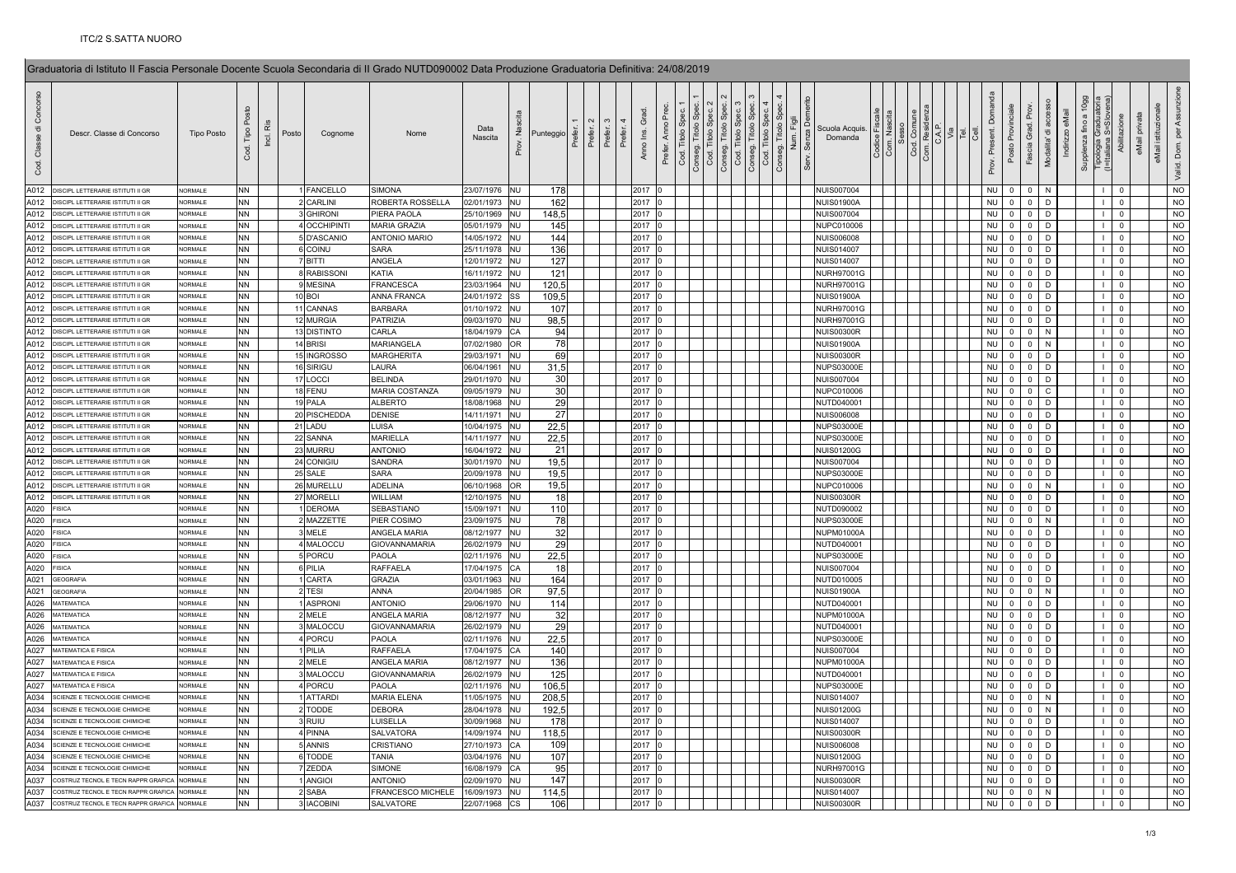| රි<br>ㅎ<br>Classe<br>g | Descr. Classe di Concorso                | <b>Tipo Posto</b> | Tipo<br>Cod. | iå<br>Inci. | Posto | Cognome         | Nome                 | Data<br>Nascita | $\tilde{z}$<br>Prov.     | Punteggio<br>Punteggio<br>Punteggio<br>Punteggio<br>Punteggio<br>Punteggio | Prefer.<br>Prefer. | Grad<br>Anno Ins. | Anno<br>Cod. Titolo<br>Prefer. | $\frac{1}{100}$<br>Cod. | <b>Titolo</b> | Cod. Titolo | င်္က<br>Titolo:<br>Conseg. | Scuola Acquis.<br>Domanda |  | Res<br>C.A. | $\overline{P}$ $\overline{S}$ | Domanda<br>Prov. Present. | ιδρ<br>Posto   | Fascia Grad.   | ㅎ<br>Modalita' | eMail<br>Indirizzo | 10gg<br>Supplenza fino a | Tipologia Graduato<br>(I=Italiana S=Slove | Abilitazione   | privata<br>eMail istituzi<br>eMail | ASS<br>$\frac{5}{2}$<br>Valid. Dom. |
|------------------------|------------------------------------------|-------------------|--------------|-------------|-------|-----------------|----------------------|-----------------|--------------------------|----------------------------------------------------------------------------|--------------------|-------------------|--------------------------------|-------------------------|---------------|-------------|----------------------------|---------------------------|--|-------------|-------------------------------|---------------------------|----------------|----------------|----------------|--------------------|--------------------------|-------------------------------------------|----------------|------------------------------------|-------------------------------------|
| A012                   | DISCIPL LETTERARIE ISTITUTI II GF        | <b>JORMALE</b>    | NN.          |             |       | <b>FANCELLO</b> | <b>SIMONA</b>        | 23/07/1976 NU   |                          | 178                                                                        |                    | 2017              |                                |                         |               |             |                            | <b>NUIS007004</b>         |  |             |                               | <b>NU</b>                 | $\mathbf{0}$   | $\overline{0}$ | N              |                    |                          |                                           | $\Omega$       |                                    | <b>NO</b>                           |
| A012                   | DISCIPL LETTERARIE ISTITUTI II GR        | <b>NORMALE</b>    | NN           |             |       | CARLINI         | ROBERTA ROSSELLA     | 02/01/1973 NU   |                          | 162                                                                        |                    | 2017              |                                |                         |               |             |                            | <b>NUIS01900A</b>         |  |             |                               | <b>NU</b>                 | $\mathbf 0$    | $\mathsf 0$    | D              |                    |                          |                                           | $\mathbf 0$    |                                    | N <sub>O</sub>                      |
| A012                   | DISCIPL LETTERARIE ISTITUTI II GR        | <b>JORMALE</b>    | <b>NN</b>    |             |       | <b>GHIRONI</b>  | PIERA PAOLA          | 25/10/1969      | <b>NU</b>                | 148,5                                                                      |                    | 2017              |                                |                         |               |             |                            | <b>NUIS007004</b>         |  |             |                               | <b>NU</b>                 | $\mathbf 0$    | $\overline{0}$ | D              |                    |                          |                                           | $\Omega$       |                                    | <b>NO</b>                           |
| A012                   | DISCIPL LETTERARIE ISTITUTI II GR        | <b>JORMALE</b>    | NN           |             |       | 4 OCCHIPINT     | MARIA GRAZIA         | 05/01/1979 NU   |                          | 145                                                                        |                    | 2017              |                                |                         |               |             |                            | NUPC010006                |  |             |                               | <b>NU</b>                 | $\overline{0}$ | $\overline{0}$ | D              |                    |                          |                                           | $\mathbf 0$    |                                    | <b>NO</b>                           |
| A012                   | DISCIPL LETTERARIE ISTITUTI II GF        | NORMALE           | <b>NN</b>    |             |       | 5 D'ASCANIO     | <b>ANTONIO MARIO</b> | 14/05/1972 NU   |                          | 144                                                                        |                    | 2017              |                                |                         |               |             |                            | <b>NUIS006008</b>         |  |             |                               | <b>NU</b>                 | $\mathbf 0$    | $\mathsf 0$    | D              |                    |                          | $\mathbf{L}$                              | $\mathbf 0$    |                                    | <b>NO</b>                           |
| A012                   | <b>DISCIPL LETTERARIE ISTITUTI II GF</b> | <b>JORMALE</b>    | ΝN           |             |       | <b>COINU</b>    | <b>SARA</b>          | 25/11/1978 NU   |                          | 136                                                                        |                    | 2017              |                                |                         |               |             |                            | <b>NUIS014007</b>         |  |             |                               | <b>NU</b>                 | $\mathbf 0$    | $\overline{0}$ | D              |                    |                          |                                           | $\overline{0}$ |                                    | <b>NO</b>                           |
| A012                   | DISCIPL LETTERARIE ISTITUTI II GR        | NORMALE           | NN           |             |       | BITTI           | ANGELA               | 12/01/1972 NU   |                          | 127                                                                        |                    | 2017              |                                |                         |               |             |                            | <b>NUIS014007</b>         |  |             |                               | <b>NU</b>                 | $\overline{0}$ | $\overline{0}$ | <sub>D</sub>   |                    |                          | $\mathbf{L}$                              | $\mathbf 0$    |                                    | <b>NO</b>                           |
| A012                   | DISCIPL LETTERARIE ISTITUTI II GR        | <b>NORMALE</b>    | <b>NN</b>    |             |       | 8 RABISSONI     | KATIA                | 16/11/1972 NU   |                          | 121                                                                        |                    | 2017              |                                |                         |               |             |                            | <b>NURH970010</b>         |  |             |                               | <b>NU</b>                 | $\mathbf{0}$   | $\mathbf{0}$   | D              |                    |                          | $\mathbf{L}$                              | $\mathbf 0$    |                                    | <b>NO</b>                           |
| A012                   | DISCIPL LETTERARIE ISTITUTI II GR        | <b>JORMALE</b>    | NN           |             |       | 9 MESINA        | <b>FRANCESCA</b>     | 23/03/1964 NU   |                          | 120,5                                                                      |                    | 2017              |                                |                         |               |             |                            | <b>NURH97001G</b>         |  |             |                               | <b>NU</b>                 | $\mathbf{0}$   | $\mathbf 0$    | D              |                    |                          | $\mathbf{L}$                              | $\mathbf 0$    |                                    | <b>NO</b>                           |
| A012                   | DISCIPL LETTERARIE ISTITUTI II GR        | <b>NORMALE</b>    | NN           |             |       | <b>10 BOI</b>   | ANNA FRANCA          | 24/01/1972      | SS                       | 109,5                                                                      |                    | 2017              |                                |                         |               |             |                            | <b>NUIS01900A</b>         |  |             |                               | <b>NU</b>                 | $\overline{0}$ | $\mathsf 0$    | D              |                    |                          | $\mathbf{L}$                              | $\mathbf 0$    |                                    | $NO$                                |
| A012                   | DISCIPL LETTERARIE ISTITUTI II GR        | <b>NORMALE</b>    | <b>NN</b>    |             |       | 11 CANNAS       | <b>BARBARA</b>       | 01/10/1972 NU   |                          | 107                                                                        |                    | 2017              |                                |                         |               |             |                            | <b>NURH97001G</b>         |  |             |                               | <b>NU</b>                 | $\mathsf 0$    | $\mathsf 0$    | D              |                    |                          | $\mathbf{L}$                              | $\mathbf 0$    |                                    | N <sub>O</sub>                      |
| A012                   | DISCIPL LETTERARIE ISTITUTI II GR        | <b>NORMALE</b>    | NN           |             |       | 12 MURGIA       | PATRIZIA             | 09/03/1970 NU   |                          | 98,5                                                                       |                    | 2017              |                                |                         |               |             |                            | <b>NURH97001G</b>         |  |             |                               | <b>NU</b>                 | $\overline{0}$ | $\mathbf 0$    | D              |                    |                          |                                           | $\mathbf 0$    |                                    | <b>NO</b>                           |
| A012                   | DISCIPL LETTERARIE ISTITUTI II GF        | <b>JORMALE</b>    | NN           |             |       | 13 DISTINTO     | CARLA                | 18/04/1979      | CA                       | 94                                                                         |                    | 2017              |                                |                         |               |             |                            | <b>NUIS00300R</b>         |  |             |                               | <b>NU</b>                 | $\overline{0}$ | $\Omega$       | N              |                    |                          | $\mathbf{L}$                              | $\mathbf 0$    |                                    | <b>NO</b>                           |
| A012                   | DISCIPL LETTERARIE ISTITUTI II GR        | NORMALE           | NN           |             |       | 14 BRISI        | MARIANGELA           | 07/02/1980 OR   |                          | 78                                                                         |                    | 2017              |                                |                         |               |             |                            | <b>NUIS01900A</b>         |  |             |                               | <b>NU</b>                 | $\mathbf 0$    | $\mathsf 0$    | $\mathsf{N}$   |                    |                          | $\mathbf{L}$                              | $\mathsf 0$    |                                    | <b>NO</b>                           |
| A012                   | DISCIPL LETTERARIE ISTITUTI II GR        | NORMALE           | NN           |             |       | 15 INGROSSO     | <b>MARGHERITA</b>    | 29/03/1971      | <b>NU</b>                | 69                                                                         |                    | 2017              |                                |                         |               |             |                            | <b>NUIS00300R</b>         |  |             |                               | <b>NU</b>                 | $\mathbf 0$    | $\mathbf 0$    | D              |                    |                          | $\mathbf{L}$                              | $\mathbf 0$    |                                    | $NO$                                |
| A012                   | DISCIPL LETTERARIE ISTITUTI II GR        | NORMALE           | <b>NN</b>    |             |       | 16 SIRIGU       | <b>LAURA</b>         | 06/04/1961      | <b>NU</b>                | 31,5                                                                       |                    | 2017              |                                |                         |               |             |                            | <b>NUPS03000E</b>         |  |             |                               | <b>NU</b>                 | $\mathbf{0}$   | - 0            | D              |                    |                          | $\mathbf{L}$                              | $\mathbf 0$    |                                    | <b>NO</b>                           |
| A012                   | DISCIPI I FTTFRARIF ISTITUTI II GR       | <b>NORMALE</b>    | NN           |             |       | 17 LOCCI        | <b>BELINDA</b>       | 29/01/1970 NU   |                          | 30                                                                         |                    | 2017              |                                |                         |               |             |                            | <b>NUIS007004</b>         |  |             |                               | <b>NU</b>                 | $\overline{0}$ | $\mathsf 0$    | D              |                    |                          | $\mathbf{L}$                              | $\mathsf 0$    |                                    | <b>NO</b>                           |
| A012                   | DISCIPL LETTERARIE ISTITUTI II GR        | <b>JORMALE</b>    | <b>NN</b>    |             |       | 18 FENU         | MARIA COSTANZA       | 09/05/1979 NU   |                          | 30 <sup>1</sup>                                                            |                    | 2017              |                                |                         |               |             |                            | NUPC010006                |  |             |                               | <b>NU</b>                 | $\mathbf{0}$   | $\overline{0}$ | - C            |                    |                          | $\mathbf{L}$                              | $\mathbf 0$    |                                    | NO                                  |
| A012                   | DISCIPL LETTERARIE ISTITUTI II GR        | NORMALE           | NN           |             |       | 19 PALA         | <b>ALBERTO</b>       | 18/08/1968 NU   |                          | 29                                                                         |                    | 2017              |                                |                         |               |             |                            | NUTD040001                |  |             |                               | <b>NU</b>                 | $\mathbf 0$    | $\mathbf 0$    | D              |                    |                          | $\mathbf{L}$                              | $\mathbf 0$    |                                    | <b>NO</b>                           |
| A012                   | DISCIPL LETTERARIE ISTITUTI II GR        | <b>NORMALE</b>    | NN           |             |       | 20 PISCHEDDA    | <b>DENISE</b>        | 14/11/1971 NU   |                          | 27                                                                         |                    | 2017              |                                |                         |               |             |                            | <b>NUIS006008</b>         |  |             |                               | <b>NU</b>                 | $\mathbf 0$    | $\mathbf 0$    | D              |                    |                          | $\mathbf{L}$                              | $\mathbf 0$    |                                    | N <sub>O</sub>                      |
| A012                   | DISCIPL LETTERARIE ISTITUTI II GR        | <b>NORMALE</b>    | <b>NN</b>    |             |       | 21 LADU         | LUISA                | 10/04/1975      | <b>NU</b>                | 22,5                                                                       |                    | 2017              |                                |                         |               |             |                            | <b>NUPS03000E</b>         |  |             |                               | <b>NU</b>                 | $\mathbf 0$    | $\overline{0}$ | D              |                    |                          |                                           | $\mathbf 0$    |                                    | $NO$                                |
| A012                   | DISCIPL LETTERARIE ISTITUTI II GR        | <b>JORMALE</b>    | NN           |             |       | 22 SANNA        | <b>MARIELLA</b>      | 14/11/1977 NU   |                          | 22,5                                                                       |                    | 2017              |                                |                         |               |             |                            | <b>NUPS03000E</b>         |  |             |                               | <b>NU</b>                 | $\overline{0}$ | $\overline{0}$ | D              |                    |                          | $\mathbf{L}$                              | $\mathbf 0$    |                                    | <b>NO</b>                           |
| A012                   | DISCIPL LETTERARIE ISTITUTI II GF        | NORMALE           | <b>NN</b>    |             |       | 23 MURRU        | <b>ANTONIO</b>       | 16/04/1972 NU   |                          | 21                                                                         |                    | 2017              |                                |                         |               |             |                            | <b>NUIS01200G</b>         |  |             |                               | <b>NU</b>                 | $\mathbf 0$    | $\mathsf 0$    | D              |                    |                          | $\mathbf{L}$                              | $\mathsf 0$    |                                    | <b>NO</b>                           |
| A012                   | DISCIPL LETTERARIE ISTITUTI II GR        | <b>JORMALE</b>    | NN           |             |       | 24 CONIGIL      | SANDRA               | 30/01/1970 NU   |                          | 19,5                                                                       |                    | 2017              |                                |                         |               |             |                            | <b>NUIS007004</b>         |  |             |                               | <b>NU</b>                 | $\mathbf 0$    | $\mathbf 0$    | D              |                    |                          | $\mathbf{L}$                              | $\mathbf 0$    |                                    | $NO$                                |
| A012                   | DISCIPL LETTERARIE ISTITUTI II GR        | <b>NORMALE</b>    | <b>NN</b>    |             |       | 25 SALE         | SARA                 | 20/09/1978 NU   |                          | 19,5                                                                       |                    | 2017              |                                |                         |               |             |                            | <b>NUPS03000E</b>         |  |             |                               | <b>NU</b>                 | $\overline{0}$ | $\overline{0}$ | D.             |                    |                          | $\mathbf{L}$                              | $\mathbf 0$    |                                    | <b>NO</b>                           |
| A012                   | DISCIPI I FTTFRARIF ISTITUTI II GR       | <b>NORMALE</b>    | <b>NN</b>    |             |       | 26 MURELLU      | ADELINA              | 06/10/1968      | OR                       | 19,5                                                                       |                    | 2017              |                                |                         |               |             |                            | NUPC010006                |  |             |                               | <b>NU</b>                 | $\mathsf 0$    | $\mathsf 0$    | $\mathsf{N}$   |                    |                          | $\mathbf{L}$                              | $\mathsf 0$    |                                    | $NO$                                |
| A012                   | DISCIPL LETTERARIE ISTITUTI II GR        | <b>NORMALE</b>    | NN           |             |       | 27 MORELLI      | WILLIAM              | 12/10/1975 NU   |                          | 18                                                                         |                    | 2017              |                                |                         |               |             |                            | <b>NUIS00300R</b>         |  |             |                               | <b>NU</b>                 | $\overline{0}$ | $\overline{0}$ | D              |                    |                          | $\mathbf{L}$                              | $\mathsf 0$    |                                    | NO                                  |
| A020                   | <b>ISICA</b>                             | <b>NORMALE</b>    | <b>NN</b>    |             |       | <b>DEROMA</b>   | SEBASTIANC           | 15/09/1971      | <b>NU</b>                | 110                                                                        |                    | 2017              |                                |                         |               |             |                            | NUTD090002                |  |             |                               | <b>NU</b>                 | $\overline{0}$ | $\mathbf 0$    | D              |                    |                          | $\mathbf{L}$                              | $\mathbf 0$    |                                    | <b>NO</b>                           |
|                        | <b>ISICA</b>                             | NORMALE           | NN           |             |       | MAZZETTE        | PIER COSIMO          | 23/09/1975 NU   |                          | 78                                                                         |                    | 2017              |                                |                         |               |             |                            | <b>NUPS03000E</b>         |  |             |                               | <b>NU</b>                 | $\mathsf 0$    | $\mathsf 0$    |                |                    |                          | $\mathbf{L}$                              | $\mathsf 0$    |                                    | <b>NO</b>                           |
| A020                   | <b>FISICA</b>                            | <b>NORMALE</b>    |              |             |       |                 | ANGELA MARIA         |                 |                          |                                                                            |                    |                   |                                |                         |               |             |                            |                           |  |             |                               |                           | $\Omega$       |                | N              |                    |                          |                                           |                |                                    |                                     |
| A020                   |                                          |                   | NN           |             |       | MELE            |                      | 08/12/1977      | <b>NU</b>                | 32                                                                         |                    | 2017              |                                |                         |               |             |                            | NUPM01000/                |  |             |                               | <b>NU</b>                 |                | $\overline{0}$ |                |                    |                          |                                           | $\overline{0}$ |                                    | $NO$                                |
| A020                   | <b>ISICA</b>                             | NORMALE           | <b>NN</b>    |             |       | 4 MALOCCU       | <b>GIOVANNAMARIA</b> | 26/02/1979      | <b>NU</b>                | 29                                                                         |                    | 2017              |                                |                         |               |             |                            | NUTD040001                |  |             |                               | <b>NU</b>                 | $\mathbf 0$    | $\overline{0}$ | D              |                    |                          | $\mathbf{L}$                              | $\overline{0}$ |                                    | <b>NO</b>                           |
| A020                   | <b>FISICA</b>                            | <b>NORMALE</b>    | NN           |             |       | 5 PORCU         | PAOLA                | 02/11/1976 NU   |                          | 22,5                                                                       |                    | 2017              |                                |                         |               |             |                            | <b>NUPS03000E</b>         |  |             |                               | NU                        | $\mathbf 0$    | $\mathbf 0$    | <sub>D</sub>   |                    |                          | $\mathbf{L}$                              | $\mathsf 0$    |                                    | <b>NO</b>                           |
| A020                   | <b>FISICA</b>                            | <b>NORMALE</b>    | <b>NN</b>    |             |       | 6 PILIA         | <b>RAFFAELA</b>      | 17/04/1975 CA   |                          | 18                                                                         |                    | 2017              |                                |                         |               |             |                            | <b>NUIS007004</b>         |  |             |                               | <b>NU</b>                 | $\mathbf 0$    | $\mathsf 0$    | D              |                    |                          | $\mathbf{L}$                              | $\mathsf 0$    |                                    | NO                                  |
| A021                   | <b>GEOGRAFIA</b>                         | <b>NORMALE</b>    | <b>NN</b>    |             |       | CARTA           | <b>GRAZIA</b>        | 03/01/1963      | <b>NU</b>                | 164                                                                        |                    | 2017              |                                |                         |               |             |                            | NUTD010005                |  |             |                               | <b>NU</b>                 | $\mathbf{0}$   | $\mathbf 0$    | D              |                    |                          | $\mathbf{L}$                              | $\mathbf 0$    |                                    | <b>NO</b>                           |
| A021                   | GEOGRAFIA                                | <b>NORMALE</b>    | NN           |             |       | TESI            | <b>ANNA</b>          | 20/04/1985      | OR                       | 97,5                                                                       |                    | 2017              |                                |                         |               |             |                            | <b>NUIS01900A</b>         |  |             |                               | <b>NU</b>                 | $\Omega$       | $\Omega$       | N              |                    |                          |                                           | $\Omega$       |                                    | <b>NO</b>                           |
| A026                   | MATEMATICA                               | NORMALE           | <b>NN</b>    |             |       | <b>ASPRONI</b>  | <b>ANTONIO</b>       | 29/06/1970 NU   |                          | 114                                                                        |                    | 2017              |                                |                         |               |             |                            | NUTD040001                |  |             |                               | <b>NU</b>                 | $\mathbf 0$    | $\overline{0}$ | D              |                    |                          | $\mathbf{L}$                              | $\mathsf 0$    |                                    | NO                                  |
| A026                   | MATEMATICA                               | <b>NORMALE</b>    | NN           |             |       | MELE            | ANGELA MARIA         | 08/12/1977      | <b>NU</b>                | 32                                                                         |                    | 2017              |                                |                         |               |             |                            | NUPM01000A                |  |             |                               | <b>NU</b>                 | $\mathbf 0$    | $\mathbf 0$    | D              |                    |                          | $\mathbf{L}$                              | $\mathbf 0$    |                                    | <b>NO</b>                           |
| A026                   | MATEMATICA                               | <b>NORMALE</b>    | NN           |             |       | MALOCCL         | GIOVANNAMARIA        | 26/02/1979 NU   |                          | 29                                                                         |                    | 2017              |                                |                         |               |             |                            | NUTD040001                |  |             |                               | <b>NU</b>                 | $\Omega$       | $\mathsf 0$    | D              |                    |                          | $\mathbf{L}$                              | $\mathbf 0$    |                                    | N <sub>O</sub>                      |
| A026                   | <b>MATEMATICA</b>                        | NORMALE           | <b>NN</b>    |             |       | 4 PORCU         | PAOLA                | 02/11/1976      | <b>NU</b>                | 22,5                                                                       |                    | 2017              |                                |                         |               |             |                            | <b>NUPS03000E</b>         |  |             |                               | <b>NU</b>                 | $\mathbf 0$    | $\mathsf 0$    | D              |                    |                          | $\mathbf{L}$                              | $\mathsf 0$    |                                    | <b>NO</b>                           |
| A027                   | MATEMATICA E FISICA                      | <b>JORMALE</b>    | NN           |             |       | PILIA           | RAFFAELA             | 7/04/1975       | CA                       | 140                                                                        |                    | 2017              |                                |                         |               |             |                            | <b>NUIS007004</b>         |  |             |                               | <b>NU</b>                 | $\overline{0}$ | $\overline{0}$ | D              |                    |                          |                                           | $\Omega$       |                                    | <b>NO</b>                           |
| A027                   | MATEMATICA E FISICA                      | <b>NORMALE</b>    | <b>NN</b>    |             |       | 2 MELE          | ANGELA MARIA         | 08/12/1977      | <b>NU</b>                | 136                                                                        |                    | 2017              |                                |                         |               |             |                            | NUPM01000A                |  |             |                               | <b>NU</b>                 | $\mathbf 0$    | $\mathbf 0$    | D              |                    |                          | $\mathbf{L}$                              | $\mathsf 0$    |                                    | <b>NO</b>                           |
| A027                   | <b>MATEMATICA E FISICA</b>               | <b>JORMALE</b>    | NN           |             |       | MALOCCL         | <b>GIOVANNAMARIA</b> | 26/02/1979 NU   |                          | 125                                                                        |                    | 2017              |                                |                         |               |             |                            | NUTD040001                |  |             |                               | <b>NU</b>                 | $\mathbf 0$    | $\mathsf 0$    | D              |                    |                          | $\mathbf{L}$                              | $\mathsf 0$    |                                    | $NO$                                |
| A027                   | MATEMATICA E FISICA                      | <b>NORMALE</b>    | NN           |             |       | 4 PORCU         | PAOLA                | 02/11/1976 NU   |                          | 106,5                                                                      |                    | 2017              |                                |                         |               |             |                            | <b>NUPS03000E</b>         |  |             |                               | <b>NU</b>                 | $\Omega$       | $\overline{0}$ | D              |                    |                          | $\mathbf{L}$                              | $\mathbf 0$    |                                    | <b>NO</b>                           |
| A034                   | SCIENZE E TECNOLOGIE CHIMICHE            | <b>NORMALE</b>    | <b>NN</b>    |             |       | <b>ATTARD</b>   | MARIA ELENA          | 11/05/1975 NU   |                          | 208,5                                                                      |                    | 2017              |                                |                         |               |             |                            | <b>NUIS014007</b>         |  |             |                               | <b>NU</b>                 | $\overline{0}$ | $\mathbf 0$    | N              |                    |                          |                                           | $\mathbf 0$    |                                    | <b>NO</b>                           |
| A034                   | SCIENZE E TECNOLOGIE CHIMICHE            | <b>JORMALE</b>    | NN           |             |       | 2 TODDE         | <b>DEBORA</b>        | 28/04/1978 NU   |                          | 192,5                                                                      |                    | 2017              |                                |                         |               |             |                            | <b>NUIS01200G</b>         |  |             |                               | <b>NU</b>                 | $\mathbf 0$    | $\mathbf 0$    | N              |                    |                          | $\mathbf{L}$                              | $\mathsf 0$    |                                    | <b>NO</b>                           |
| A034                   | <b>SCIENZE E TECNOLOGIE CHIMICHE</b>     | <b>NORMALE</b>    | <b>NN</b>    |             |       | 3 RUIU          | LUISELLA             | 30/09/1968      | <b>NU</b>                | 178                                                                        |                    | 2017              |                                |                         |               |             |                            | <b>NUIS014007</b>         |  |             |                               | <b>NU</b>                 | $\mathbf 0$    | $\mathbf 0$    | D              |                    |                          | $\mathbf{L}$                              | $\mathbf 0$    |                                    | <b>NO</b>                           |
| A034                   | CIENZE E TECNOLOGIE CHIMICHI             | NORMALE           | <b>NN</b>    |             |       | 4 PINNA         | <b>SALVATORA</b>     | 14/09/1974 NU   |                          | 118,5                                                                      |                    | 2017              |                                |                         |               |             |                            | <b>NUIS00300R</b>         |  |             |                               | <b>NU</b>                 | $\mathsf{O}$   | $\mathsf 0$    | D              |                    |                          | $\mathbf{L}$                              | $\mathbf 0$    |                                    | N <sub>O</sub>                      |
| A034                   | SCIENZE E TECNOLOGIE CHIMICHE            | <b>NORMALE</b>    | NN           |             |       | 5 ANNIS         | CRISTIANO            | 27/10/1973      | <b>CA</b>                | 109                                                                        |                    | 2017              |                                |                         |               |             |                            | <b>NUIS006008</b>         |  |             |                               | <b>NU</b>                 | $\mathbf 0$    | $\overline{0}$ | D              |                    |                          |                                           | $\mathbf 0$    |                                    | $NO$                                |
| A034                   | <b>CIENZE E TECNOLOGIE CHIMICH</b>       | <b>JORMALE</b>    | NN           |             |       | 6 TODDE         | TANIA                | 03/04/1976 NU   |                          | 107                                                                        |                    | 2017              |                                |                         |               |             |                            | <b>NUIS01200G</b>         |  |             |                               | <b>NU</b>                 | $\Omega$       | $\overline{0}$ | D              |                    |                          | $\mathbf{L}$                              | $\mathbf 0$    |                                    | <b>NO</b>                           |
| A034                   | SCIENZE E TECNOLOGIE CHIMICHI            | <b>JORMALE</b>    | <b>NN</b>    |             |       | <b>ZEDDA</b>    | <b>SIMONE</b>        | 16/08/1979 CA   |                          | 95                                                                         |                    | 2017              |                                |                         |               |             |                            | <b>NURH97001G</b>         |  |             |                               | <b>NU</b>                 | $\overline{0}$ | $\overline{0}$ | D              |                    |                          | $\mathbf{L}$                              | $\mathbf 0$    |                                    | <b>NO</b>                           |
| A037                   | COSTRUZ TECNOL E TECN RAPPR GRAFICA      | <b>NORMALE</b>    | NN           |             |       | <b>ANGIOI</b>   | <b>ANTONIO</b>       | 02/09/1970      | <b>NU</b>                | 147                                                                        |                    | 2017              |                                |                         |               |             |                            | <b>NUIS00300R</b>         |  |             |                               | <b>NU</b>                 | $\mathbf 0$    | $\mathsf 0$    | D              |                    |                          | $\mathbf{L}$                              | $\mathbf 0$    |                                    | $NO$                                |
| A037                   | COSTRUZ TECNOL E TECN RAPPR GRAFIC.      | <b>NORMALE</b>    | <b>NN</b>    |             |       | <b>SABA</b>     | FRANCESCO MICHELE    | 16/09/1973      | <b>NU</b>                | 114.5                                                                      |                    | 2017              |                                |                         |               |             |                            | <b>NUIS014007</b>         |  |             |                               | <b>NU</b>                 | $\mathbf 0$    | $\overline{0}$ | N              |                    |                          |                                           | $\mathbf 0$    |                                    | <b>NO</b>                           |
| A037                   | COSTRUZ TECNOL E TECN RAPPR GRAEICA      | NORMALE           | <b>NN</b>    |             |       | <b>IACOBINI</b> | SALVATORE            | 22/07/1968      | $\mathsf{CS}\phantom{0}$ | 106                                                                        |                    | 2017              |                                |                         |               |             |                            | <b>NUIS00300R</b>         |  |             |                               | <b>NU</b>                 | $\overline{0}$ | $\mathbf{0}$   | D              |                    |                          |                                           | $\mathbf 0$    |                                    | $NO$                                |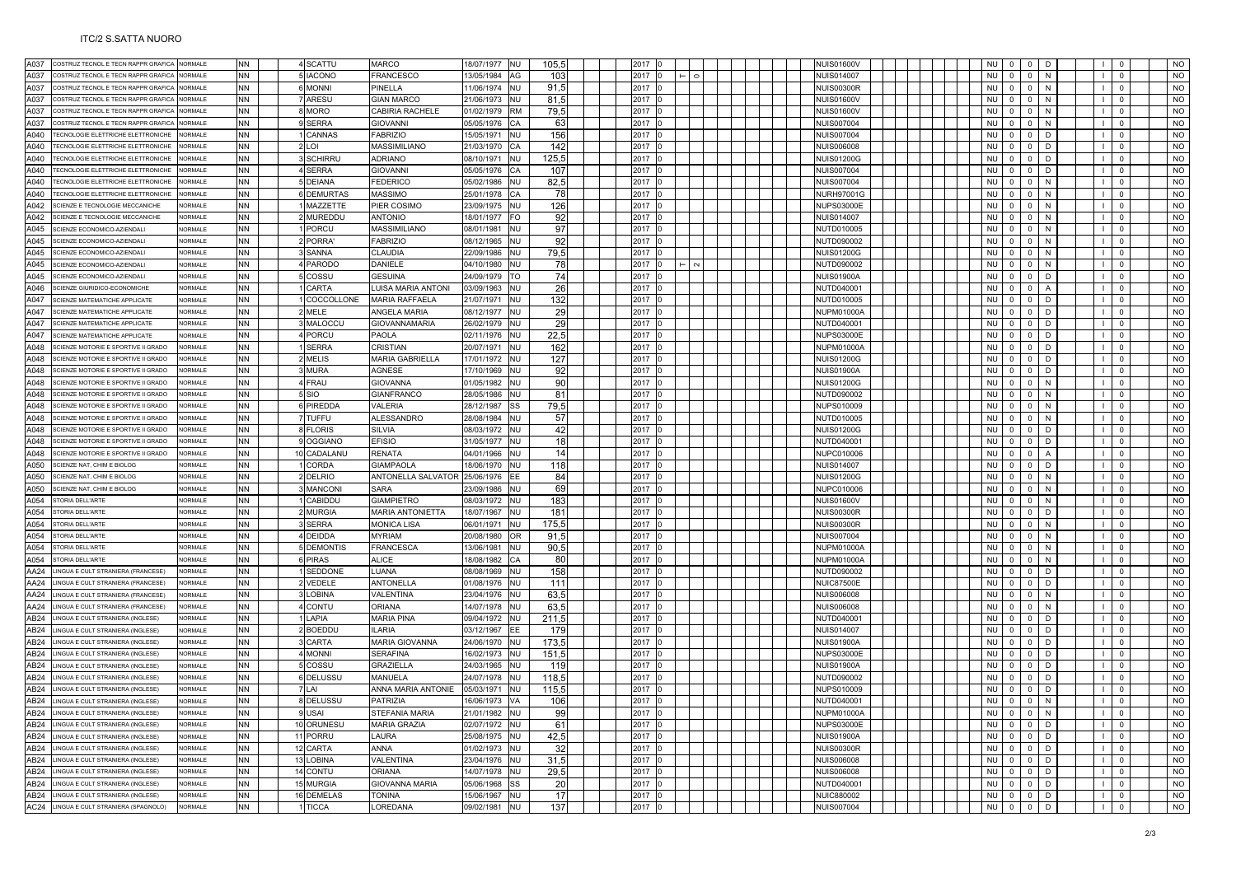| A037             |                                            |                |           |                   |                         |            |           |       |      |      |                   |                             |                                  |                |              |                                                                            |
|------------------|--------------------------------------------|----------------|-----------|-------------------|-------------------------|------------|-----------|-------|------|------|-------------------|-----------------------------|----------------------------------|----------------|--------------|----------------------------------------------------------------------------|
|                  | COSTRUZ TECNOL E TECN RAPPR GRAFICA        | NORMALE        | NN        | 4 SCATTU          | <b>MARCO</b>            | 18/07/1977 | <b>NU</b> | 105,5 |      | 2017 | <b>NUIS01600V</b> | NI I                        |                                  |                |              | NO                                                                         |
| A037             | OSTRUZ TECNOL E TECN RAPPR GRAFICA         | <b>RMALE</b>   | NN        | 5 IACONO          | FRANCESCO               | 13/05/1984 | AG        | 103   |      | 2017 | <b>NUIS014007</b> | <b>NU</b><br>$\Omega$       | $\Omega$                         |                | $\Omega$     | <b>NO</b>                                                                  |
| A037             | OSTRUZ TECNOL E TECN RAPPR GRAFICA         | <b>ORMALE</b>  | NN        | 6 MONNI           | PINELLA                 | 11/06/1974 | <b>NU</b> | 91,5  | 2017 |      | <b>NUIS00300R</b> | <b>NU</b><br>$\overline{0}$ | $\overline{0}$<br>N              |                | $\mathbf{0}$ | <b>NO</b>                                                                  |
| A037             | COSTRUZ TECNOL E TECN RAPPR GRAFICA        | <b>JORMALE</b> | NN        | ARESU             | <b>GIAN MARCO</b>       | 21/06/1973 | NU        |       |      | 2017 | <b>NUIS01600V</b> | <b>NU</b><br>$\overline{0}$ | $\mathbf{0}$<br>N                |                | $\mathbf 0$  | N <sub>O</sub>                                                             |
|                  |                                            |                |           |                   |                         |            |           | 81,5  |      |      |                   |                             |                                  |                |              |                                                                            |
| A037             | COSTRUZ TECNOL E TECN RAPPR GRAFICA        | <b>IORMALE</b> | NN        | 8 MORO            | CABIRIA RACHELE         | 01/02/1979 | RM        | 79,5  |      | 2017 | <b>NUIS01600V</b> | <b>NU</b><br>$\Omega$       | $\Omega$<br>N                    |                | $\mathbf{0}$ | <b>NO</b>                                                                  |
| A037             | OSTRUZ TECNOL E TECN RAPPR GRAFICA         | RMAI F         | ΝN        | 9 SERRA           | GIOVANNI                | 05/05/1976 | СA        | 63    |      | 2017 | <b>NUIS007004</b> | NU<br>$\mathbf 0$           | $\Omega$<br>N                    |                | $\mathbf{0}$ | <b>NO</b>                                                                  |
| A040             | <b>TECNOLOGIE ELETTRICHE ELETTRONICHE</b>  | <b>ORMALE</b>  | NN        | CANNAS            | FABRIZIO                | 15/05/1971 | NU        | 156   |      | 2017 | NUIS007004        | <b>NU</b><br>$\Omega$       | $\overline{0}$<br><sup>n</sup>   |                | $\mathbf{0}$ | <b>NO</b>                                                                  |
| A040             | <b>FECNOLOGIE ELETTRICHE ELETTRONICHI</b>  | ORMALE         | NN        | 2 LOI             | <b>MASSIMILIANO</b>     | 21/03/1970 | CA        | 142   |      | 2017 | <b>NUIS006008</b> | <b>NU</b><br>$\Omega$       | $\Omega$<br><b>D</b>             | $\blacksquare$ | $\mathbf 0$  | <b>NO</b>                                                                  |
| A040             | <b>TECNOLOGIE ELETTRICHE ELETTRONICHI</b>  | ORMALE         | ΝN        | <b>SCHIRRU</b>    | <b>ADRIANO</b>          | 08/10/1971 | NU        | 125.5 | 2017 |      | <b>NUIS01200G</b> | <b>NU</b><br>$\overline{0}$ | $0$ D                            |                | $\Omega$     | N <sub>O</sub>                                                             |
| A040             | <b>TECNOLOGIE ELETTRICHE ELETTRONICHI</b>  | <b>IORMALE</b> | NN        | 4 SERRA           | <b>GIOVANNI</b>         | 05/05/1976 | CA        | 107   |      | 2017 | <b>NUIS007004</b> | <b>NU</b><br>$\mathbf 0$    | $\overline{0}$<br>$\Gamma$       |                | $\Omega$     | <b>NO</b>                                                                  |
| A040             | <b>FECNOLOGIE ELETTRICHE ELETTRONICHE</b>  | <b>IORMALE</b> | ΝN        | 5 DEIANA          | <b>FEDERICO</b>         | 05/02/1986 | NU        | 82.5  |      | 2017 | <b>NUIS007004</b> | NU<br>$\mathbf{0}$          | $^{\circ}$<br>N                  |                | $\mathbf{0}$ | <b>NO</b>                                                                  |
| A040             |                                            |                |           |                   | <b>MASSIMO</b>          |            |           |       |      |      |                   | <b>NU</b>                   | $\mathbf{0}$                     |                | $\Omega$     |                                                                            |
|                  | <b>ECNOLOGIE ELETTRICHE ELETTRONICHI</b>   | ORMAL F        | NN        | <b>6 DEMURTAS</b> |                         | 25/01/1978 | CА        | 78    | 2017 |      | <b>NURH97001G</b> | $\Omega$                    | N                                |                |              | $\mathsf{NO}$                                                              |
| A042             | CIENZE E TECNOLOGIE MECCANICHI             | <b>ORMALE</b>  | N٧        | <b>MAZZETTE</b>   | PIER COSIMO             | 23/09/1975 | NU        | 126   | 2017 |      | <b>NUPS03000E</b> | <b>NU</b><br>$\Omega$       | $\Omega$<br>N                    |                | $\mathbf 0$  | <b>NO</b>                                                                  |
| A042             | SCIENZE E TECNOLOGIE MECCANICHE            | <b>JORMALE</b> | NN        | 2 MUREDDU         | <b>ANTONIO</b>          | 18/01/1977 | FO        | 92    |      | 2017 | <b>NUIS014007</b> | <b>NU</b><br>0              | $\mathsf 0$<br>N                 |                | $\mathbf 0$  | <b>NO</b>                                                                  |
| A045             | CIENZE ECONOMICO-AZIENDAL                  | <b>IORMALE</b> | NN        | <b>PORCU</b>      | <b>MASSIMILIANO</b>     | 08/01/1981 | NU        | 97    |      | 2017 | NUTD010005        | <b>NU</b><br>$\Omega$       | $\overline{0}$<br>N              |                | $\Omega$     | <b>NO</b>                                                                  |
| A045             | CIENZE ECONOMICO-AZIENDALI                 | <b>IORMALE</b> | N٧        | 2 PORRA           | FABRIZIO                | 08/12/1965 | NU        | 92    | 2017 |      | NUTD090002        | <b>NU</b><br>$\Omega$       | $\overline{0}$<br>N              |                | $\mathbf 0$  | <b>NO</b>                                                                  |
| A045             | SCIENZE ECONOMICO-AZIENDAL                 | <b>NORMALE</b> | NN        | <b>SANNA</b>      | CLAUDIA                 | 22/09/1986 | NU        | 79,5  |      | 2017 | <b>NUIS01200G</b> | <b>NU</b><br>$\Omega$       | $\Omega$<br>N                    |                | $\mathbf 0$  | N <sub>O</sub>                                                             |
| A045             | CIENZE ECONOMICO-AZIENDAL                  | <b>ORMALE</b>  | NN        | 4 PARODO          | <b>DANIELE</b>          | 04/10/1980 | <b>NU</b> | 78    |      | 2017 | NUTD090002        | <b>NU</b><br>$\Omega$       | $\mathbf 0$<br>N                 |                | $\mathbf 0$  | <b>NO</b>                                                                  |
|                  |                                            | ORMALE         |           | cossu             |                         |            |           |       |      |      |                   |                             | D                                |                | $\mathbf 0$  | <b>NO</b>                                                                  |
| A045             | CIENZE ECONOMICO-AZIENDAL                  |                | NN        |                   | <b>GESUINA</b>          | 24/09/1979 | TO        | 74    |      | 2017 | <b>NUIS01900A</b> | $\mathsf 0$<br><b>NU</b>    | $\mathsf 0$                      |                |              |                                                                            |
| A046             | CIENZE GIURIDICO-ECONOMICHE                | <b>ORMALE</b>  | NN        | CARTA             | LUISA MARIA ANTONI      | 03/09/1963 | NU        | 26    |      | 2017 | NUTD040001        | <b>NU</b><br>$\Omega$       | $\Omega$                         |                | $\Omega$     | <b>NO</b>                                                                  |
| A047             | SCIENZE MATEMATICHE APPLICATE              | <b>JORMALE</b> | NN        | COCCOLLONE        | <b>MARIA RAFFAELA</b>   | 21/07/1971 | NU        | 132   | 2017 |      | NUTD010005        | <b>NU</b><br>$\Omega$       | $\Omega$<br>D                    |                | $\mathbf 0$  | <b>NO</b>                                                                  |
| A047             | CIENZE MATEMATICHE APPLICATE               | <b>IORMALE</b> | NN        | 2 MELE            | ANGELA MARIA            | 08/12/1977 | NU        | 29    | 2017 |      | <b>NUPM01000A</b> | <b>NU</b><br>$\overline{0}$ | $\overline{0}$<br>D              |                | $\mathbf 0$  | N <sub>O</sub>                                                             |
| A047             | CIENZE MATEMATICHE APPLICATE               | ORMALE         | N٧        | MALOCCU           | <b>GIOVANNAMARIA</b>    | 26/02/1979 | <b>NU</b> | 29    |      | 2017 | NUTD040001        | <b>NU</b><br>$\Omega$       | $\mathbf 0$<br>$\Gamma$          |                | $\Omega$     | NO                                                                         |
| A047             | CIENZE MATEMATICHE APPLICATE               | <b>IORMALE</b> | NN        | 4 PORCU           | <b>PAOLA</b>            | 02/11/1976 | NU        | 22,5  |      | 2017 | <b>NUPS03000E</b> | <b>NU</b><br>$\mathbf{0}$   | $\overline{0}$<br>D              |                | $\mathbf 0$  | <b>NO</b>                                                                  |
| A048             | CIENZE MOTORIE E SPORTIVE II GRADO         | <b>JORMALE</b> | NN        | <b>SERRA</b>      | CRISTIAN                | 20/07/1971 | NU        | 162   | 2017 |      | NUPM01000/        | <b>NU</b><br>$\Omega$       | $\Omega$                         |                | $\Omega$     | <b>NO</b>                                                                  |
| A048             | CIENZE MOTORIE E SPORTIVE II GRADO         | ORMALE         | N٧        | MELIS             | MARIA GABRIELLA         | 17/01/1972 | NU        | 127   |      | 2017 | <b>NUIS01200G</b> | <b>NU</b><br>$\Omega$       | $\mathbf 0$<br>D                 |                | $\mathbf 0$  | <b>NO</b>                                                                  |
|                  |                                            |                |           |                   |                         |            |           |       |      |      |                   |                             |                                  |                |              |                                                                            |
| A048             | SCIENZE MOTORIE E SPORTIVE II GRADO        | <b>ORMALE</b>  | NN        | 3 MURA            | <b>AGNESE</b>           | 17/10/1969 | NU        | 92    |      | 2017 | <b>NUIS01900A</b> | <b>NU</b><br>$\Omega$       | $\mathsf 0$<br>D                 |                | $\mathbf 0$  | <b>NO</b>                                                                  |
| A048             | CIENZE MOTORIE E SPORTIVE II GRADO         | ORMALE         | NN        | 4 FRAU            | <b>GIOVANNA</b>         | 01/05/1982 | NU        | 90    | 2017 |      | <b>NUIS01200G</b> | <b>NU</b><br>$\Omega$       | $\Omega$<br>$\mathsf{N}$         |                | $\Omega$     | <b>NO</b>                                                                  |
| A048             | CIENZE MOTORIE E SPORTIVE II GRADO         | ORMALE         | NN        | 5 SIO             | GIANFRANCC              | 28/05/1986 | NU        | 81    | 2017 |      | NUTD090002        | <b>NU</b><br>$\overline{0}$ | $\mathbf 0$<br>N                 |                | $\mathbf 0$  | <b>NO</b>                                                                  |
| A048             | SCIENZE MOTORIE E SPORTIVE II GRADO        | <b>JORMALE</b> | NN        | 6 PIREDDA         | VALERIA                 | 28/12/1987 | SS        | 79,5  |      | 2017 | NUPS010009        | <b>NU</b><br>$\Omega$       | $\overline{0}$<br>N              |                | $\mathbf 0$  | NO                                                                         |
| A048             | CIENZE MOTORIE E SPORTIVE II GRADO         | <b>ORMALE</b>  | NN        | TUFFU             | <b>ALESSANDRO</b>       | 28/08/1984 | NU        | 57    | 2017 |      | NUTD010005        | <b>NU</b><br>$\Omega$       | $\mathbf 0$<br>$\mathsf{N}$      |                | $\mathbf 0$  | <b>NO</b>                                                                  |
| A048             | CIENZE MOTORIE E SPORTIVE II GRADO         | <b>IORMALE</b> | NN        | 8 FLORIS          | <b>SILVIA</b>           | 08/03/1972 | NU        | 42    | 2017 |      | <b>NUIS01200G</b> | <b>NU</b><br>$\mathbf 0$    | $\mathsf 0$<br>D                 |                | $\mathbf 0$  | $NO$                                                                       |
| A048             | <b>SCIENZE MOTORIE E SPORTIVE II GRADO</b> | <b>ORMALE</b>  | NN        | <b>OGGIANO</b>    | EFISIO                  | 31/05/1977 | NU        | 18    |      | 2017 | NUTD040001        | <b>NU</b><br>$\Omega$       | $\Omega$<br><sub>D</sub>         |                | $\mathbf 0$  | <b>NO</b>                                                                  |
| A048             | SCIENZE MOTORIE E SPORTIVE II GRADO        | <b>IORMALE</b> | NN        | 10 CADALANU       | <b>RENATA</b>           | 04/01/1966 | NU        | 14    |      | 2017 | <b>NUPC010006</b> | <b>NU</b><br>$\Omega$       | $\Omega$<br>$\overline{A}$       |                | $\mathbf 0$  | <b>NO</b>                                                                  |
|                  |                                            |                |           |                   |                         |            |           |       |      |      |                   |                             |                                  | - 11           |              |                                                                            |
| A050             | CIENZE NAT, CHIM E BIOLOG                  | <b>ORMALE</b>  | NN        | CORDA             | <b>GIAMPAOLA</b>        | 18/06/1970 | NU        | 118   | 2017 |      | <b>NUIS014007</b> | <b>NU</b><br>$\overline{0}$ | $\overline{0}$<br>$\overline{D}$ |                | $\mathbf 0$  | <b>NO</b>                                                                  |
| A050             | CIENZE NAT, CHIM E BIOLOG                  | <b>ORMALE</b>  | NN        | 2 DELRIO          | ANTONELLA SALVATOR      | 25/06/1976 | EE.       | 84    |      | 2017 | <b>NUIS01200G</b> | <b>NU</b><br>$\Omega$       | $\overline{0}$<br>$\mathbf{N}$   |                | $\Omega$     | <b>NO</b>                                                                  |
| A050             | CIENZE NAT, CHIM E BIOLOG                  | <b>IORMALE</b> | NN        | <b>MANCON</b>     | <b>SARA</b>             | 23/09/1986 | NU        | 69    |      | 2017 | NUPC010006        | <b>NU</b><br>$\mathbf 0$    | $\mathbf 0$<br>N                 |                | $\mathbf 0$  | <b>NO</b>                                                                  |
| A054             | TORIA DELL'ARTI                            |                | NN        | CABIDDU           | <b>GIAMPIETRO</b>       |            | NU        | 183   |      | 2017 |                   |                             |                                  |                | $\mathbf 0$  | <b>NO</b>                                                                  |
|                  |                                            | <b>JORMALE</b> |           |                   |                         | 08/03/1972 |           |       |      |      | <b>NUIS01600V</b> | <b>NU</b><br>$\Omega$       | $\Omega$<br>N                    |                |              | <b>NO</b>                                                                  |
| A054             | TORIA DELL'ARTE                            | ORMALE         | NN        | 2 MURGIA          | <b>MARIA ANTONIETTA</b> | 18/07/1967 | NU        | 181   | 2017 |      | <b>NUIS00300R</b> | <b>NU</b><br>$\mathbf 0$    | $\mathbf 0$<br>D                 |                | $\mathbf 0$  |                                                                            |
|                  | <b>STORIA DELL'ARTE</b>                    | <b>JORMALE</b> |           |                   |                         |            |           |       |      |      |                   | <b>NU</b>                   | N                                |                |              |                                                                            |
| A054             |                                            | ORMAL F        | NN        | <b>SERRA</b>      | <b>MONICA LISA</b>      | 06/01/1971 | NU        | 175.5 |      | 2017 | <b>NUIS00300R</b> | $\overline{0}$              | $\overline{0}$                   |                | $\mathbf 0$  | <b>NO</b>                                                                  |
| A054             | TORIA DELL'ARTE                            |                | NN        | 4 DEIDDA          | <b>MYRIAM</b>           | 20/08/1980 | OR        | 91.5  | 2017 |      | <b>NUIS007004</b> | <b>NU</b><br>$\Omega$       | $\Omega$<br>N                    |                | $\Omega$     | <b>NO</b>                                                                  |
| A054             | TORIA DELL'ARTE                            | <b>IORMALE</b> | NN        | 5 DEMONTIS        | FRANCESCA               | 13/06/1981 | NU        | 90,5  |      | 2017 | NUPM01000A        | <b>NU</b><br>$\overline{0}$ | $\mathbf 0$<br>N                 |                | $\mathbf 0$  | <b>NO</b>                                                                  |
| A054             | <b>STORIA DELL'ARTE</b>                    | <b>JORMALE</b> | NN        | 6 PIRAS           | <b>ALICE</b>            | 18/08/1982 | CA        | 80    |      | 2017 | <b>NUPM01000A</b> | <b>NU</b><br>$\mathbf 0$    | $\mathbf 0$<br>N                 |                | $\mathsf 0$  | <b>NO</b>                                                                  |
| AA24             | <b>NGUA E CULT STRANIERA (FRANCESE)</b>    | <b>ORMALE</b>  | NN        | SEDDONE           | LUANA                   | 08/08/1969 | NU        | 158   | 2017 |      | NUTD090002        | <b>NU</b><br>$\mathbf 0$    | $\overline{0}$<br>$\Gamma$       |                | $\mathbf 0$  | <b>NO</b>                                                                  |
| AA24             | <b>NGUA E CULT STRANIERA (FRANCESE)</b>    | <b>ORMALE</b>  | NN        | VEDELE            | <b>ANTONELLA</b>        | 01/08/1976 | NU        | 111   |      | 2017 | <b>NUIC87500E</b> | <b>NU</b><br>$\mathbf 0$    | $\Omega$<br><sub>D</sub>         |                | $\mathbf 0$  | <b>NO</b>                                                                  |
| AA24             | INGUA E CULT STRANIERA (FRANCESE)          | <b>JORMALE</b> | NN        | LOBINA            | VALENTINA               | 23/04/1976 | NU        | 63,5  |      | 2017 | <b>NUIS006008</b> | <b>NU</b><br>$\Omega$       | $\Omega$<br>N                    |                | $\mathbf 0$  | <b>NO</b>                                                                  |
| AA24             | INGUA E CULT STRANIERA (FRANCESE)          | <b>IORMALE</b> | NN        | 4 CONTU           | ORIANA                  | 14/07/1978 | NU        | 63.5  |      | 2017 | <b>NUIS006008</b> | <b>NU</b><br>$\Omega$       | $\Omega$<br>N                    |                | $\mathbf 0$  | <b>NO</b>                                                                  |
|                  | <b>NGUA E CULT STRANIERA (INGLESE</b>      | ORMALE         |           | LAPIA             |                         |            |           |       |      |      |                   | <b>NU</b><br>$\mathbf 0$    | $\mathsf 0$<br>D                 |                | $\pmb{0}$    |                                                                            |
| AB <sub>24</sub> |                                            |                | ΝN        |                   | <b>MARIA PINA</b>       | 09/04/1972 | NU        | 211,5 | 2017 |      | NUTD040001        | $\Omega$                    | $\Omega$<br>D.                   |                | $\Omega$     | <b>NO</b>                                                                  |
| AB24             | INGUA E CULT STRANIERA (INGLESE)           | ORMALE         | ٧N        | <b>BOEDDU</b>     | LARIA                   | 03/12/1967 | EE.       | 179   |      | 2017 | <b>NUIS014007</b> | <b>NU</b>                   |                                  |                |              | <b>NO</b>                                                                  |
| AB <sub>24</sub> | INGUA E CULT STRANIERA (INGLESE)           | <b>JORMALE</b> | NN        | CARTA             | MARIA GIOVANNA          | 24/06/1970 | NU        | 173,5 |      | 2017 | <b>NUIS01900A</b> | <b>NU</b><br>$\mathbf 0$    | $\mathbf 0$<br>D                 |                | $\mathbf 0$  | <b>NO</b>                                                                  |
| AB <sub>24</sub> | INGUA E CULT STRANIERA (INGLESE            | <b>NORMALE</b> | NN        | 4 MONNI           | <b>SERAFINA</b>         | 16/02/1973 | NU        | 151.5 | 2017 |      | <b>NUPS03000E</b> | <b>NU</b><br>$\Omega$       | $\Omega$<br><sup>D</sup>         |                | $\Omega$     | <b>NO</b>                                                                  |
| AB24             | INGUA E CULT STRANIERA (INGLESE)           | ORMALE         | N٧        | 5 COSSU           | GRAZIELLA               | 24/03/1965 | NU        | 119   |      | 2017 | <b>NUIS01900A</b> | <b>NU</b><br>$\mathbf 0$    | $\mathbf 0$<br><sub>D</sub>      |                | $\mathbf 0$  | <b>NO</b>                                                                  |
| AB24             | INGUA E CULT STRANIERA (INGLESE)           | <b>JORMALE</b> | NN        | 6 DELUSSU         | MANUELA                 | 24/07/1978 | NU        | 118,5 |      | 2017 | NUTD090002        | <b>NU</b><br>$\Omega$       | $\Omega$<br>D                    |                | $\mathbf 0$  | <b>NO</b>                                                                  |
| AB24             | INGUA E CULT STRANIERA (INGLESE)           | <b>IORMALE</b> | NN        | 7 LAI             | ANNA MARIA ANTONIE      | 05/03/1971 | NU        | 115,5 |      | 2017 | NUPS010009        | <b>NU</b><br>$\Omega$       | $\Omega$<br>D.                   |                | $\Omega$     | <b>NO</b>                                                                  |
| AB <sub>24</sub> | NGUA E CULT STRANIERA (INGLESE)            | ORMALE         | NN        | 8 DELUSSU         | PATRIZIA                | 16/06/1973 | VA        | 106   | 2017 |      | NUTD040001        | <b>NU</b><br>$\mathbf 0$    | $\mathbf 0$<br>N                 |                | $\Omega$     |                                                                            |
| AB24             | INGUA E CULT STRANIERA (INGLESE)           | <b>NORMALE</b> |           | 9 USAI            |                         |            | <b>NU</b> |       |      | 2017 | <b>NUPM01000A</b> | <b>NU</b><br>$\Omega$       | $\Omega$<br>$\mathbf N$          |                | $\Omega$     |                                                                            |
|                  |                                            | <b>NORMALE</b> | NN        |                   | STEFANIA MARIA          | 21/01/1982 |           | 99    |      |      |                   |                             | D.                               |                |              |                                                                            |
| AB <sub>24</sub> | INGUA E CULT STRANIERA (INGLESE)           |                | NN        | 10 ORUNESU        | <b>MARIA GRAZIA</b>     | 02/07/1972 | NU        | 61    |      | 2017 | <b>NUPS03000E</b> | <b>NU</b><br>$\Omega$       | $\mathbf 0$                      |                | $\mathbf 0$  |                                                                            |
| AB24             | INGUA E CULT STRANIERA (INGLESE)           | <b>IORMALE</b> | ΝN        | 11 PORRU          | <b>LAURA</b>            | 25/08/1975 | NU        | 42.5  | 2017 |      | <b>NUIS01900A</b> | $\mathbf 0$<br><b>NU</b>    | $\overline{0}$<br>D              |                | $\mathbf 0$  |                                                                            |
| AB24             | <b>NGUA E CULT STRANIERA (INGLESE</b>      | <b>IORMALE</b> | NN        | 12 CARTA          | ANNA                    | 01/02/1973 | NU        | 32    |      | 2017 | <b>NUIS00300R</b> | <b>NU</b><br>$\Omega$       | $\Omega$<br><sup>D</sup>         |                | $\Omega$     |                                                                            |
| AB24             | INGUA E CULT STRANIERA (INGLESE)           | <b>IORMALE</b> | <b>NN</b> | 13 LOBINA         | VALENTINA               | 23/04/1976 | NU        | 31,5  |      | 2017 | <b>NUIS006008</b> | <b>NU</b><br>$\Omega$       | $\Omega$<br>D                    |                | $\mathbf{0}$ | <b>NO</b><br><b>NO</b><br><b>NO</b><br><b>NO</b><br><b>NO</b><br><b>NO</b> |
| AB24             | INGUA E CULT STRANIERA (INGLESE)           | <b>ORMALE</b>  | NN        | 14 CONTU          | ORIANA                  | 14/07/1978 | NU        | 29,5  | 2017 |      | NUIS006008        | <b>NU</b><br>$\mathsf{o}\,$ | $\mathsf 0$<br>D                 |                | $\pmb{0}$    | <b>NO</b>                                                                  |
| AB24             | NGUA E CULT STRANIERA (INGLESE)            | <b>IORMALE</b> | ٩N        | 15 MURGIA         | <b>GIOVANNA MARIA</b>   | 05/06/1968 | SS        | 20    |      | 2017 | NUTD040001        | <b>NU</b><br>$\Omega$       | $\Omega$<br><sub>D</sub>         |                | $\Omega$     |                                                                            |
| AB24             | <b>INGUA E CULT STRANIERA (INGLESE)</b>    | NORMALE        | N٧        | 16 DEMELAS        | <b>TONINA</b>           | 15/06/1967 | NU        | 17    |      | 2017 | <b>NUIC880002</b> | <b>NU</b><br>$\Omega$       | $\Omega$<br>D                    |                | $\Omega$     |                                                                            |
| AC24             | INGUA E CULT STRANIERA (SPAGNOLO)          | <b>JORMALE</b> | NN.       | <b>TICCA</b>      | LOREDANA                | 09/02/1981 | NI I      | 137   | 2017 |      | <b>NUIS007004</b> | <b>NU</b><br>$\mathbf 0$    | $\Omega$<br>D                    |                | $\Omega$     | NO<br><b>NO</b><br><b>NO</b>                                               |